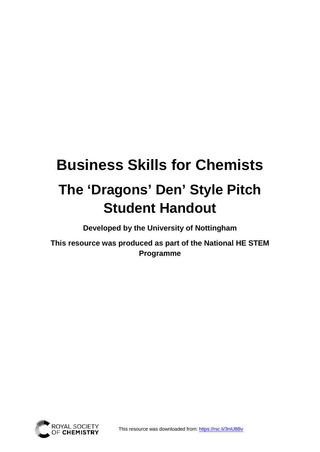# **Business Skills for Chemists The 'Dragons' Den' Style Pitch Student Handout**

**Developed by the University of Nottingham** 

**This resource was produced as part of the National HE STEM Programme**

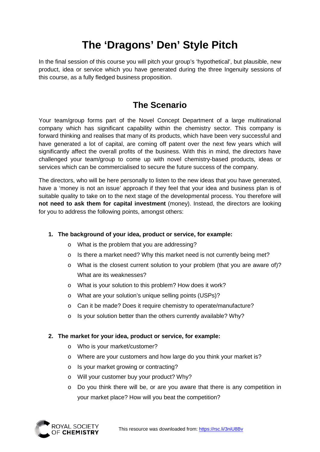# **The 'Dragons' Den' Style Pitch**

In the final session of this course you will pitch your group's 'hypothetical', but plausible, new product, idea or service which you have generated during the three Ingenuity sessions of this course, as a fully fledged business proposition.

### **The Scenario**

Your team/group forms part of the Novel Concept Department of a large multinational company which has significant capability within the chemistry sector. This company is forward thinking and realises that many of its products, which have been very successful and have generated a lot of capital, are coming off patent over the next few years which will significantly affect the overall profits of the business. With this in mind, the directors have challenged your team/group to come up with novel chemistry-based products, ideas or services which can be commercialised to secure the future success of the company.

The directors, who will be here personally to listen to the new ideas that you have generated, have a 'money is not an issue' approach if they feel that your idea and business plan is of suitable quality to take on to the next stage of the developmental process. You therefore will **not need to ask them for capital investment** (money). Instead, the directors are looking for you to address the following points, amongst others:

#### **1. The background of your idea, product or service, for example:**

- o What is the problem that you are addressing?
- o Is there a market need? Why this market need is not currently being met?
- o What is the closest current solution to your problem (that you are aware of)? What are its weaknesses?
- o What is your solution to this problem? How does it work?
- o What are your solution's unique selling points (USPs)?
- o Can it be made? Does it require chemistry to operate/manufacture?
- o Is your solution better than the others currently available? Why?

#### **2. The market for your idea, product or service, for example:**

- o Who is your market/customer?
- o Where are your customers and how large do you think your market is?
- o Is your market growing or contracting?
- o Will your customer buy your product? Why?
- o Do you think there will be, or are you aware that there is any competition in your market place? How will you beat the competition?

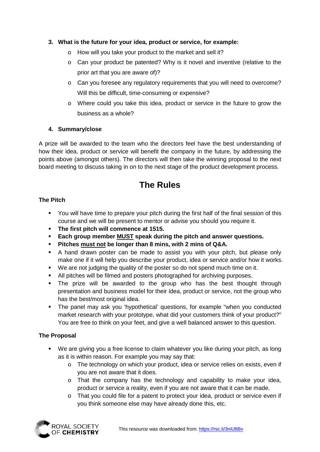#### **3. What is the future for your idea, product or service, for example:**

- o How will you take your product to the market and sell it?
- o Can your product be patented? Why is it novel and inventive (relative to the prior art that you are aware of)?
- o Can you foresee any regulatory requirements that you will need to overcome? Will this be difficult, time-consuming or expensive?
- o Where could you take this idea, product or service in the future to grow the business as a whole?

#### **4. Summary/close**

A prize will be awarded to the team who the directors feel have the best understanding of how their idea, product or service will benefit the company in the future, by addressing the points above (amongst others). The directors will then take the winning proposal to the next board meeting to discuss taking in on to the next stage of the product development process.

### **The Rules**

#### **The Pitch**

- You will have time to prepare your pitch during the first half of the final session of this course and we will be present to mentor or advise you should you require it.
- **The first pitch will commence at 1515.**
- **Each group member MUST speak during the pitch and answer questions.**
- **Pitches must not be longer than 8 mins, with 2 mins of Q&A.**
- A hand drawn poster can be made to assist you with your pitch, but please only make one if it will help you describe your product, idea or service and/or how it works.
- We are not judging the quality of the poster so do not spend much time on it.
- All pitches will be filmed and posters photographed for archiving purposes.
- The prize will be awarded to the group who has the best thought through presentation and business model for their idea, product or service, not the group who has the best/most original idea.
- The panel may ask you 'hypothetical' questions, for example "when you conducted market research with your prototype, what did your customers think of your product?" You are free to think on your feet, and give a well balanced answer to this question.

#### **The Proposal**

- We are giving you a free license to claim whatever you like during your pitch, as long as it is within reason. For example you may say that:
	- o The technology on which your product, idea or service relies on exists, even if you are not aware that it does.
	- o That the company has the technology and capability to make your idea, product or service a reality, even if you are not aware that it can be made.
	- o That you could file for a patent to protect your idea, product or service even if you think someone else may have already done this, etc.